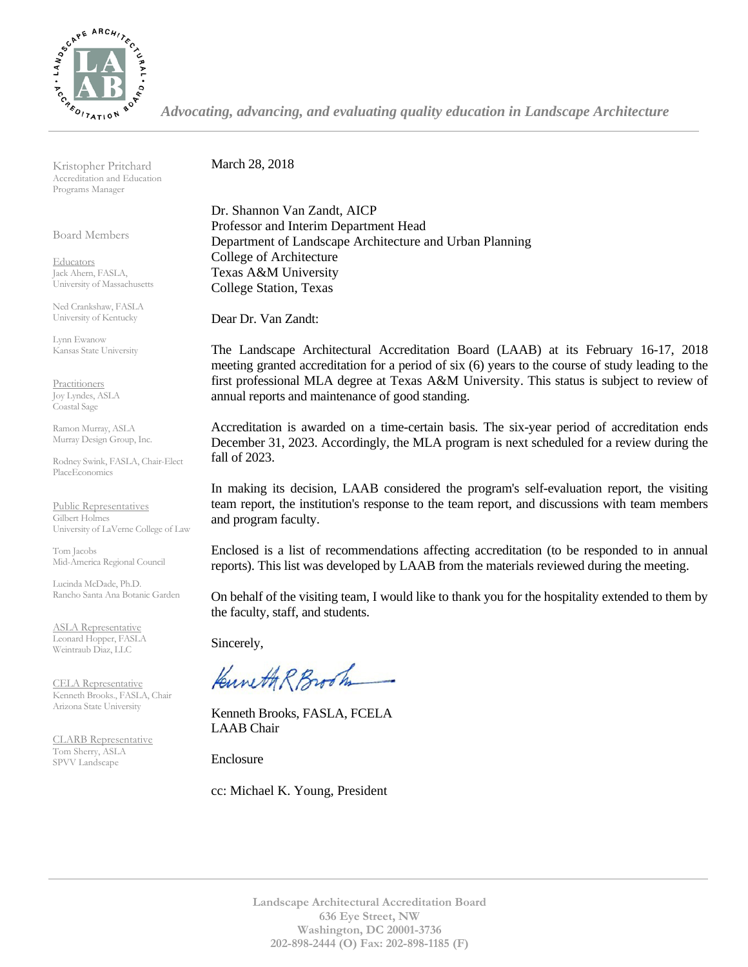

*Advocating, advancing, and evaluating quality education in Landscape Architecture*

Kristopher Pritchard Accreditation and Education Programs Manager

Board Members

**Educators** Jack Ahern, FASLA, University of Massachusetts

Ned Crankshaw, FASLA University of Kentucky

Lynn Ewanow Kansas State University

**Practitioners** Joy Lyndes, ASLA Coastal Sage

Ramon Murray, ASLA Murray Design Group, Inc.

Rodney Swink, FASLA, Chair-Elect PlaceEconomics

Public Representatives Gilbert Holmes University of LaVerne College of Law

Tom Jacobs Mid-America Regional Council

Lucinda McDade, Ph.D. Rancho Santa Ana Botanic Garden

ASLA Representative Leonard Hopper, FASLA Weintraub Diaz, LLC

CELA Representative Kenneth Brooks., FASLA, Chair Arizona State University

CLARB Representative Tom Sherry, ASLA SPVV Landscape

March 28, 2018

Dr. Shannon Van Zandt, AICP Professor and Interim Department Head Department of Landscape Architecture and Urban Planning College of Architecture Texas A&M University College Station, Texas

Dear Dr. Van Zandt:

The Landscape Architectural Accreditation Board (LAAB) at its February 16-17, 2018 meeting granted accreditation for a period of six (6) years to the course of study leading to the first professional MLA degree at Texas A&M University. This status is subject to review of annual reports and maintenance of good standing.

Accreditation is awarded on a time-certain basis. The six-year period of accreditation ends December 31, 2023. Accordingly, the MLA program is next scheduled for a review during the fall of 2023.

In making its decision, LAAB considered the program's self-evaluation report, the visiting team report, the institution's response to the team report, and discussions with team members and program faculty.

Enclosed is a list of recommendations affecting accreditation (to be responded to in annual reports). This list was developed by LAAB from the materials reviewed during the meeting.

On behalf of the visiting team, I would like to thank you for the hospitality extended to them by the faculty, staff, and students.

Sincerely,

Kuneth R Brook

Kenneth Brooks, FASLA, FCELA LAAB Chair

Enclosure

cc: Michael K. Young, President

**Landscape Architectural Accreditation Board 636 Eye Street, NW Washington, DC 20001-3736 202-898-2444 (O) Fax: 202-898-1185 (F)**